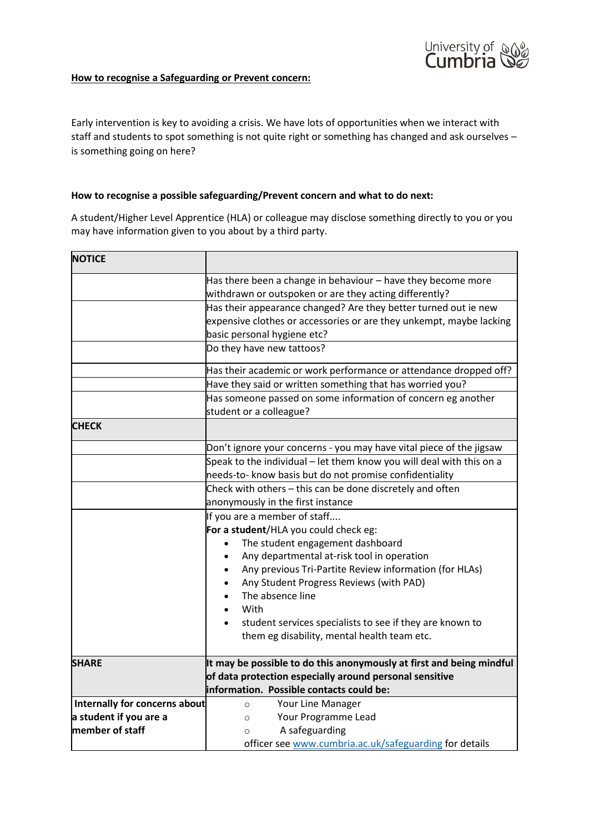

## **How to recognise a Safeguarding or Prevent concern:**

Early intervention is key to avoiding a crisis. We have lots of opportunities when we interact with staff and students to spot something is not quite right or something has changed and ask ourselves – is something going on here?

## **How to recognise a possible safeguarding/Prevent concern and what to do next:**

A student/Higher Level Apprentice (HLA) or colleague may disclose something directly to you or you may have information given to you about by a third party.

| <b>NOTICE</b>                 |                                                                                         |
|-------------------------------|-----------------------------------------------------------------------------------------|
|                               | Has there been a change in behaviour - have they become more                            |
|                               | withdrawn or outspoken or are they acting differently?                                  |
|                               | Has their appearance changed? Are they better turned out ie new                         |
|                               | expensive clothes or accessories or are they unkempt, maybe lacking                     |
|                               | basic personal hygiene etc?                                                             |
|                               | Do they have new tattoos?                                                               |
|                               | Has their academic or work performance or attendance dropped off?                       |
|                               | Have they said or written something that has worried you?                               |
|                               | Has someone passed on some information of concern eg another<br>student or a colleague? |
| <b>CHECK</b>                  |                                                                                         |
|                               | Don't ignore your concerns - you may have vital piece of the jigsaw                     |
|                               | Speak to the individual – let them know you will deal with this on a                    |
|                               | needs-to- know basis but do not promise confidentiality                                 |
|                               | Check with others - this can be done discretely and often                               |
|                               | anonymously in the first instance                                                       |
|                               | If you are a member of staff                                                            |
|                               | For a student/HLA you could check eg:                                                   |
|                               | The student engagement dashboard<br>$\bullet$                                           |
|                               | Any departmental at-risk tool in operation<br>$\bullet$                                 |
|                               | Any previous Tri-Partite Review information (for HLAs)<br>$\bullet$                     |
|                               | Any Student Progress Reviews (with PAD)                                                 |
|                               | The absence line                                                                        |
|                               | With                                                                                    |
|                               | student services specialists to see if they are known to                                |
|                               | them eg disability, mental health team etc.                                             |
| <b>SHARE</b>                  | It may be possible to do this anonymously at first and being mindful                    |
|                               | of data protection especially around personal sensitive                                 |
|                               | information. Possible contacts could be:                                                |
| Internally for concerns about | Your Line Manager<br>$\circ$                                                            |
| a student if you are a        | Your Programme Lead<br>$\circ$                                                          |
| member of staff               | A safeguarding<br>$\circ$                                                               |
|                               | officer see www.cumbria.ac.uk/safeguarding for details                                  |